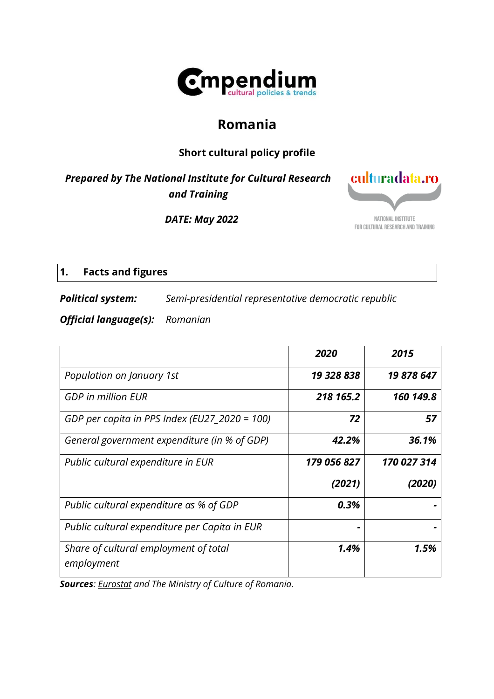

# **Romania**

# **Short cultural policy profile**

*Prepared by The National Institute for Cultural Research and Training*

*DATE: May 2022*



# **1. Facts and figures**

*Political system: Semi-presidential representative democratic republic*

*Official language(s): Romanian*

|                                                     | 2020        | 2015        |
|-----------------------------------------------------|-------------|-------------|
| Population on January 1st                           | 19 328 838  | 19 878 647  |
| <b>GDP</b> in million EUR                           | 218 165.2   | 160 149.8   |
| GDP per capita in PPS Index (EU27_2020 = 100)       | 72          | 57          |
| General government expenditure (in % of GDP)        | 42.2%       | 36.1%       |
| Public cultural expenditure in EUR                  | 179 056 827 | 170 027 314 |
|                                                     | (2021)      | (2020)      |
| Public cultural expenditure as % of GDP             | 0.3%        |             |
| Public cultural expenditure per Capita in EUR       |             |             |
| Share of cultural employment of total<br>employment | 1.4%        | 1.5%        |

*Sources: [Eurostat](https://ec.europa.eu/eurostat/en/) and The Ministry of Culture of Romania.*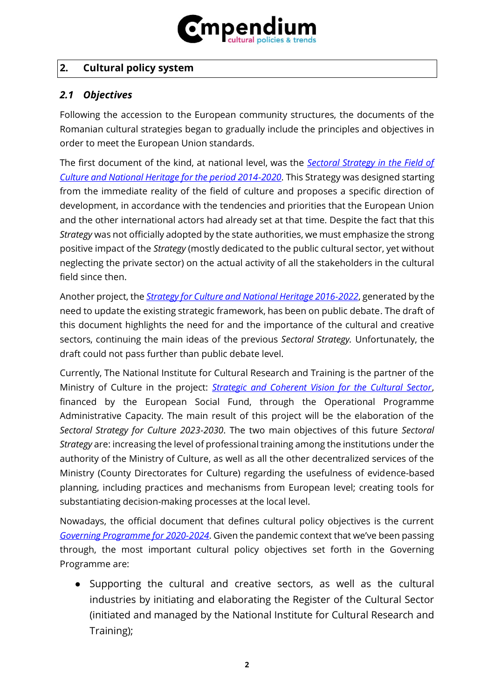

### **2. Cultural policy system**

#### *2.1 Objectives*

Following the accession to the European community structures, the documents of the Romanian cultural strategies began to gradually include the principles and objectives in order to meet the European Union standards.

The first document of the kind, at national level, was the *[Sectoral Strategy in the Field of](https://www.culturadata.ro/wp-content/uploads/2014/12/STRATEGIA_SECTORIALA.pdf)  [Culture and National Heritage for the period 2014-2020](https://www.culturadata.ro/wp-content/uploads/2014/12/STRATEGIA_SECTORIALA.pdf)*. This Strategy was designed starting from the immediate reality of the field of culture and proposes a specific direction of development, in accordance with the tendencies and priorities that the European Union and the other international actors had already set at that time. Despite the fact that this *Strategy* was not officially adopted by the state authorities, we must emphasize the strong positive impact of the *Strategy* (mostly dedicated to the public cultural sector, yet without neglecting the private sector) on the actual activity of all the stakeholders in the cultural field since then.

Another project, the *[Strategy for Culture and National Heritage 2016-2022](http://www.cultura.ro/sites/default/files/inline-files/_SCPN%202016-2022inavizare.pdf)*, generated by the need to update the existing strategic framework, has been on public debate. The draft of this document highlights the need for and the importance of the cultural and creative sectors, continuing the main ideas of the previous *Sectoral Strategy.* Unfortunately, the draft could not pass further than public debate level.

Currently, The National Institute for Cultural Research and Training is the partner of the Ministry of Culture in the project: *[Strategic and Coherent Vision for the Cultural Sector](https://www.culturadata.ro/viziune-strategica-si-coerenta-pentru-sectorul-cultural/)*, financed by the European Social Fund, through the Operational Programme Administrative Capacity. The main result of this project will be the elaboration of the *Sectoral Strategy for Culture 2023-2030*. The two main objectives of this future *Sectoral Strategy* are: increasing the level of professional training among the institutions under the authority of the Ministry of Culture, as well as all the other decentralized services of the Ministry (County Directorates for Culture) regarding the usefulness of evidence-based planning, including practices and mechanisms from European level; creating tools for substantiating decision-making processes at the local level.

Nowadays, the official document that defines cultural policy objectives is the current *[Governing Programme for 2020-2024](https://gov.ro/fisiere/pagini_fisiere/Program_de_guvernare_2020_2024.pdf)*. Given the pandemic context that we've been passing through, the most important cultural policy objectives set forth in the Governing Programme are:

● Supporting the cultural and creative sectors, as well as the cultural industries by initiating and elaborating the Register of the Cultural Sector (initiated and managed by the National Institute for Cultural Research and Training);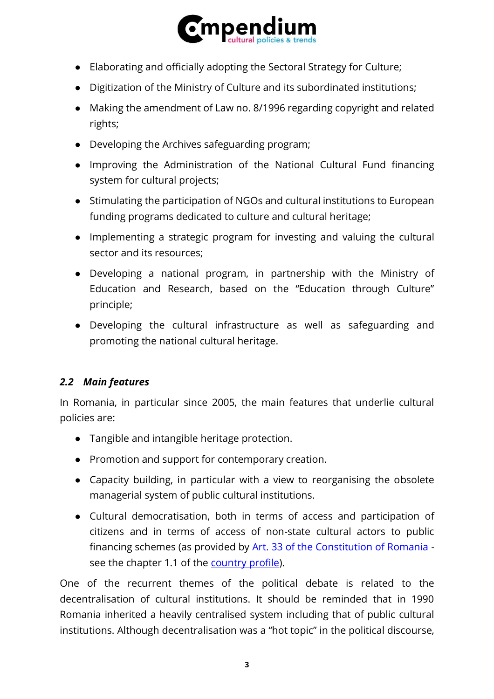

- Elaborating and officially adopting the Sectoral Strategy for Culture;
- Digitization of the Ministry of Culture and its subordinated institutions;
- Making the amendment of Law no. 8/1996 regarding copyright and related rights;
- Developing the Archives safeguarding program;
- Improving the Administration of the National Cultural Fund financing system for cultural projects;
- Stimulating the participation of NGOs and cultural institutions to European funding programs dedicated to culture and cultural heritage;
- Implementing a strategic program for investing and valuing the cultural sector and its resources;
- Developing a national program, in partnership with the Ministry of Education and Research, based on the "Education through Culture" principle;
- Developing the cultural infrastructure as well as safeguarding and promoting the national cultural heritage.

# *2.2 Main features*

In Romania, in particular since 2005, the main features that underlie cultural policies are:

- Tangible and intangible heritage protection.
- Promotion and support for contemporary creation.
- Capacity building, in particular with a view to reorganising the obsolete managerial system of public cultural institutions.
- Cultural democratisation, both in terms of access and participation of citizens and in terms of access of non-state cultural actors to public financing schemes (as provided by [Art. 33 of the Constitution of Romania](https://www.constitutiaromaniei.ro/art-33-accesul-la-cultura/) see the chapter 1.1 of the [country profile\)](https://www.culturalpolicies.net/wp-content/uploads/pdf_full/romania/romania_042020.pdf).

One of the recurrent themes of the political debate is related to the decentralisation of cultural institutions. It should be reminded that in 1990 Romania inherited a heavily centralised system including that of public cultural institutions. Although decentralisation was a "hot topic" in the political discourse,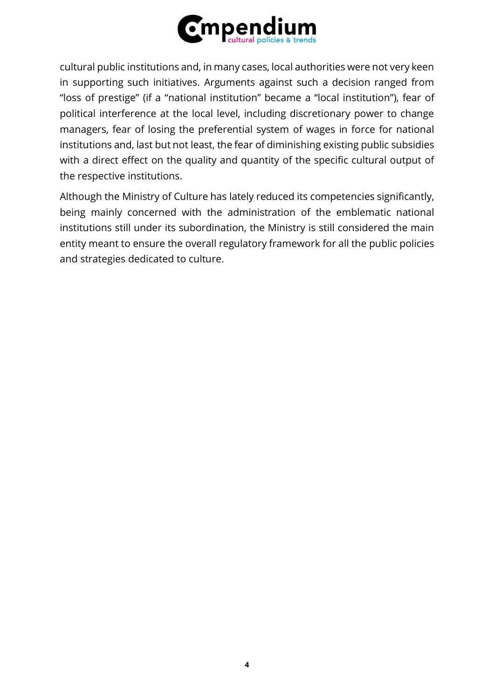

cultural public institutions and, in many cases, local authorities were not very keen in supporting such initiatives. Arguments against such a decision ranged from "loss of prestige" (if a "national institution" became a "local institution"), fear of political interference at the local level, including discretionary power to change managers, fear of losing the preferential system of wages in force for national institutions and, last but not least, the fear of diminishing existing public subsidies with a direct effect on the quality and quantity of the specific cultural output of the respective institutions.

Although the Ministry of Culture has lately reduced its competencies significantly, being mainly concerned with the administration of the emblematic national institutions still under its subordination, the Ministry is still considered the main entity meant to ensure the overall regulatory framework for all the public policies and strategies dedicated to culture.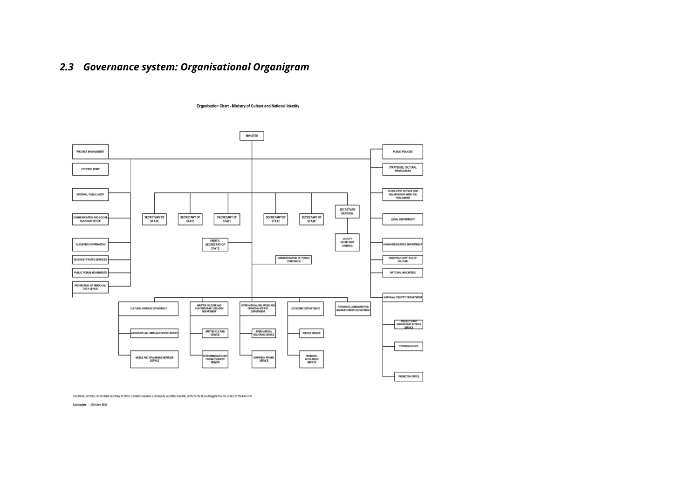# *2.3 Governance system: Organisational Organigram*



Organisation Chart - Ministry of Culture and National Identity

Secretaries of State, Understate Secretary of State, Secretary General and Deputy Secretary General perform the tasks delegated by the orders of the Minister

Last update - 17th July 2019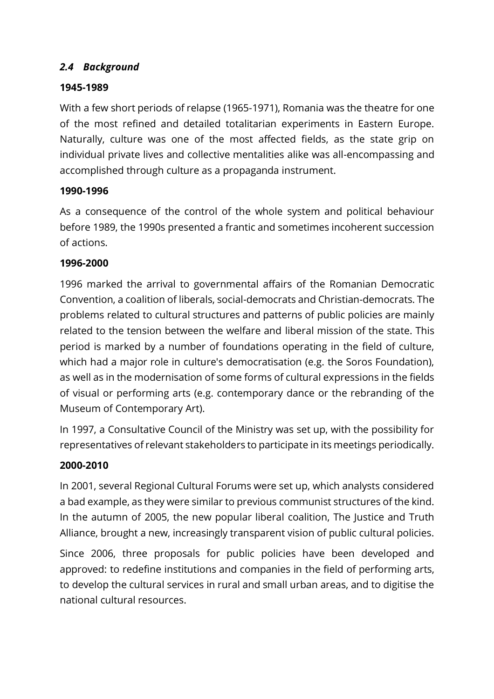### *2.4 Background*

### **1945-1989**

With a few short periods of relapse (1965-1971), Romania was the theatre for one of the most refined and detailed totalitarian experiments in Eastern Europe. Naturally, culture was one of the most affected fields, as the state grip on individual private lives and collective mentalities alike was all-encompassing and accomplished through culture as a propaganda instrument.

### **1990-1996**

As a consequence of the control of the whole system and political behaviour before 1989, the 1990s presented a frantic and sometimes incoherent succession of actions.

#### **1996-2000**

1996 marked the arrival to governmental affairs of the Romanian Democratic Convention, a coalition of liberals, social-democrats and Christian-democrats. The problems related to cultural structures and patterns of public policies are mainly related to the tension between the welfare and liberal mission of the state. This period is marked by a number of foundations operating in the field of culture, which had a major role in culture's democratisation (e.g. the Soros Foundation), as well as in the modernisation of some forms of cultural expressions in the fields of visual or performing arts (e.g. contemporary dance or the rebranding of the Museum of Contemporary Art).

In 1997, a Consultative Council of the Ministry was set up, with the possibility for representatives of relevant stakeholders to participate in its meetings periodically.

### **2000-2010**

In 2001, several Regional Cultural Forums were set up, which analysts considered a bad example, as they were similar to previous communist structures of the kind. In the autumn of 2005, the new popular liberal coalition, The Justice and Truth Alliance, brought a new, increasingly transparent vision of public cultural policies.

Since 2006, three proposals for public policies have been developed and approved: to redefine institutions and companies in the field of performing arts, to develop the cultural services in rural and small urban areas, and to digitise the national cultural resources.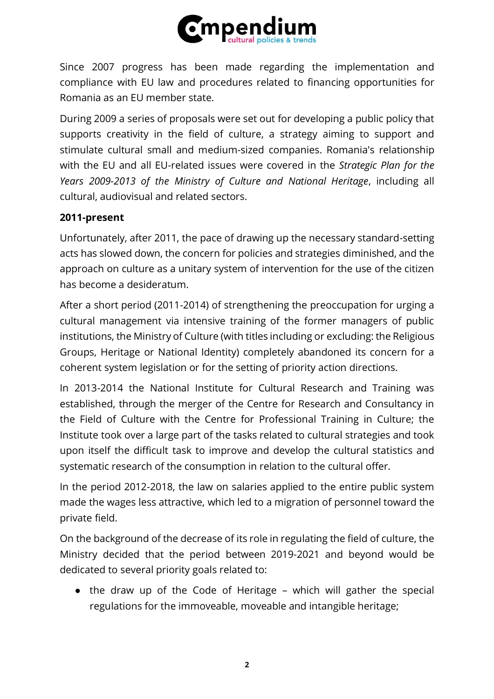

Since 2007 progress has been made regarding the implementation and compliance with EU law and procedures related to financing opportunities for Romania as an EU member state.

During 2009 a series of proposals were set out for developing a public policy that supports creativity in the field of culture, a strategy aiming to support and stimulate cultural small and medium-sized companies. Romania's relationship with the EU and all EU-related issues were covered in the *Strategic Plan for the Years 2009-2013 of the Ministry of Culture and National Heritage*, including all cultural, audiovisual and related sectors.

### **2011-present**

Unfortunately, after 2011, the pace of drawing up the necessary standard-setting acts has slowed down, the concern for policies and strategies diminished, and the approach on culture as a unitary system of intervention for the use of the citizen has become a desideratum.

After a short period (2011-2014) of strengthening the preoccupation for urging a cultural management via intensive training of the former managers of public institutions, the Ministry of Culture (with titles including or excluding: the Religious Groups, Heritage or National Identity) completely abandoned its concern for a coherent system legislation or for the setting of priority action directions.

In 2013-2014 the National Institute for Cultural Research and Training was established, through the merger of the Centre for Research and Consultancy in the Field of Culture with the Centre for Professional Training in Culture; the Institute took over a large part of the tasks related to cultural strategies and took upon itself the difficult task to improve and develop the cultural statistics and systematic research of the consumption in relation to the cultural offer.

In the period 2012-2018, the law on salaries applied to the entire public system made the wages less attractive, which led to a migration of personnel toward the private field.

On the background of the decrease of its role in regulating the field of culture, the Ministry decided that the period between 2019-2021 and beyond would be dedicated to several priority goals related to:

• the draw up of the Code of Heritage – which will gather the special regulations for the immoveable, moveable and intangible heritage;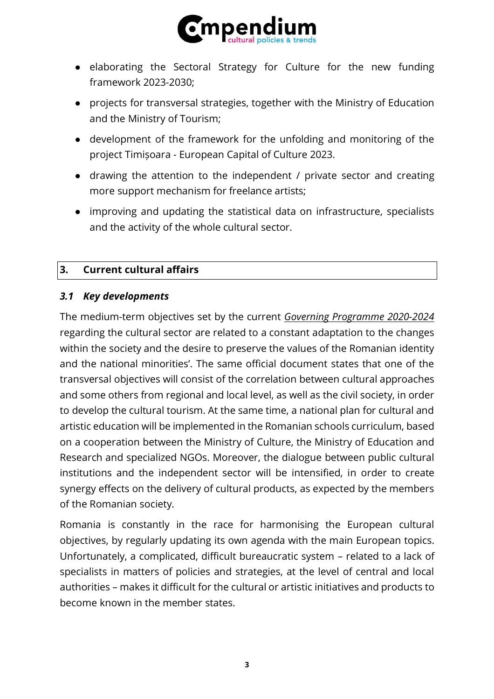

- elaborating the Sectoral Strategy for Culture for the new funding framework 2023-2030;
- projects for transversal strategies, together with the Ministry of Education and the Ministry of Tourism;
- development of the framework for the unfolding and monitoring of the project Timișoara - European Capital of Culture 2023.
- drawing the attention to the independent / private sector and creating more support mechanism for freelance artists;
- improving and updating the statistical data on infrastructure, specialists and the activity of the whole cultural sector.

### **3. Current cultural affairs**

#### *3.1 Key developments*

The medium-term objectives set by the current *Governing [Programme 2020-2024](https://gov.ro/fisiere/pagini_fisiere/Program_de_guvernare_2020_2024.pdf)* regarding the cultural sector are related to a constant adaptation to the changes within the society and the desire to preserve the values of the Romanian identity and the national minorities'. The same official document states that one of the transversal objectives will consist of the correlation between cultural approaches and some others from regional and local level, as well as the civil society, in order to develop the cultural tourism. At the same time, a national plan for cultural and artistic education will be implemented in the Romanian schools curriculum, based on a cooperation between the Ministry of Culture, the Ministry of Education and Research and specialized NGOs. Moreover, the dialogue between public cultural institutions and the independent sector will be intensified, in order to create synergy effects on the delivery of cultural products, as expected by the members of the Romanian society.

Romania is constantly in the race for harmonising the European cultural objectives, by regularly updating its own agenda with the main European topics. Unfortunately, a complicated, difficult bureaucratic system – related to a lack of specialists in matters of policies and strategies, at the level of central and local authorities – makes it difficult for the cultural or artistic initiatives and products to become known in the member states.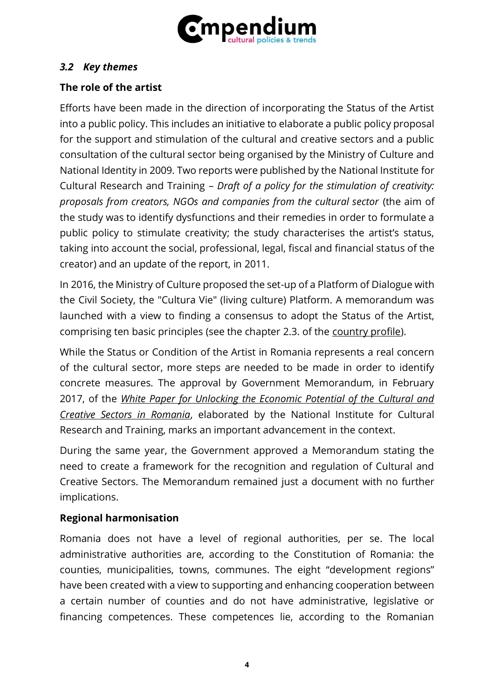

### *3.2 Key themes*

# **The role of the artist**

Efforts have been made in the direction of incorporating the Status of the Artist into a public policy. This includes an initiative to elaborate a public policy proposal for the support and stimulation of the cultural and creative sectors and a public consultation of the cultural sector being organised by the Ministry of Culture and National Identity in 2009. Two reports were published by the National Institute for Cultural Research and Training – *Draft of a policy for the stimulation of creativity: proposals from creators, NGOs and companies from the cultural sector* (the aim of the study was to identify dysfunctions and their remedies in order to formulate a public policy to stimulate creativity; the study characterises the artist's status, taking into account the social, professional, legal, fiscal and financial status of the creator) and an update of the report, in 2011.

In 2016, the Ministry of Culture proposed the set-up of a Platform of Dialogue with the Civil Society, the "Cultura Vie" (living culture) Platform. A memorandum was launched with a view to finding a consensus to adopt the Status of the Artist, comprising ten basic principles (see the chapter 2.3. of the [country profile\)](https://www.culturalpolicies.net/wp-content/uploads/pdf_full/romania/romania_042020.pdf).

While the Status or Condition of the Artist in Romania represents a real concern of the cultural sector, more steps are needed to be made in order to identify concrete measures. The approval by Government Memorandum, in February 2017, of the *[White Paper for Unlocking the Economic Potential of the Cultural and](https://www.culturadata.ro/wp-content/uploads/2017/01/Cartea-Alba-EN-FR-WEB.pdf)  [Creative Sectors in Romania](https://www.culturadata.ro/wp-content/uploads/2017/01/Cartea-Alba-EN-FR-WEB.pdf)*, elaborated by the National Institute for Cultural Research and Training, marks an important advancement in the context.

During the same year, the Government approved a Memorandum stating the need to create a framework for the recognition and regulation of Cultural and Creative Sectors. The Memorandum remained just a document with no further implications.

### **Regional harmonisation**

Romania does not have a level of regional authorities, per se. The local administrative authorities are, according to the Constitution of Romania: the counties, municipalities, towns, communes. The eight "development regions" have been created with a view to supporting and enhancing cooperation between a certain number of counties and do not have administrative, legislative or financing competences. These competences lie, according to the Romanian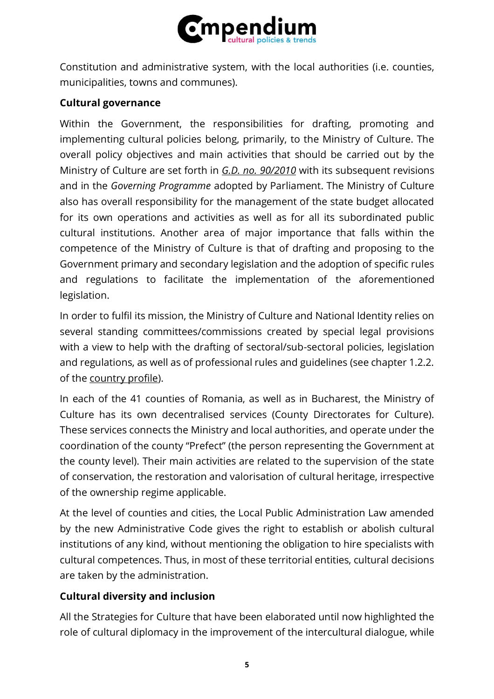

Constitution and administrative system, with the local authorities (i.e. counties, municipalities, towns and communes).

### **Cultural governance**

Within the Government, the responsibilities for drafting, promoting and implementing cultural policies belong, primarily, to the Ministry of Culture. The overall policy objectives and main activities that should be carried out by the Ministry of Culture are set forth in *[G.D. no. 90/2010](http://legislatie.just.ro/Public/DetaliiDocumentAfis/184706)* with its subsequent revisions and in the *Governing Programme* adopted by Parliament. The Ministry of Culture also has overall responsibility for the management of the state budget allocated for its own operations and activities as well as for all its subordinated public cultural institutions. Another area of major importance that falls within the competence of the Ministry of Culture is that of drafting and proposing to the Government primary and secondary legislation and the adoption of specific rules and regulations to facilitate the implementation of the aforementioned legislation.

In order to fulfil its mission, the Ministry of Culture and National Identity relies on several standing committees/commissions created by special legal provisions with a view to help with the drafting of sectoral/sub-sectoral policies, legislation and regulations, as well as of professional rules and guidelines (see chapter 1.2.2. of the [country profile\)](https://www.culturalpolicies.net/wp-content/uploads/pdf_full/romania/romania_042020.pdf).

In each of the 41 counties of Romania, as well as in Bucharest, the Ministry of Culture has its own decentralised services (County Directorates for Culture). These services connects the Ministry and local authorities, and operate under the coordination of the county "Prefect" (the person representing the Government at the county level). Their main activities are related to the supervision of the state of conservation, the restoration and valorisation of cultural heritage, irrespective of the ownership regime applicable.

At the level of counties and cities, the Local Public Administration Law amended by the new Administrative Code gives the right to establish or abolish cultural institutions of any kind, without mentioning the obligation to hire specialists with cultural competences. Thus, in most of these territorial entities, cultural decisions are taken by the administration.

# **Cultural diversity and inclusion**

All the Strategies for Culture that have been elaborated until now highlighted the role of cultural diplomacy in the improvement of the intercultural dialogue, while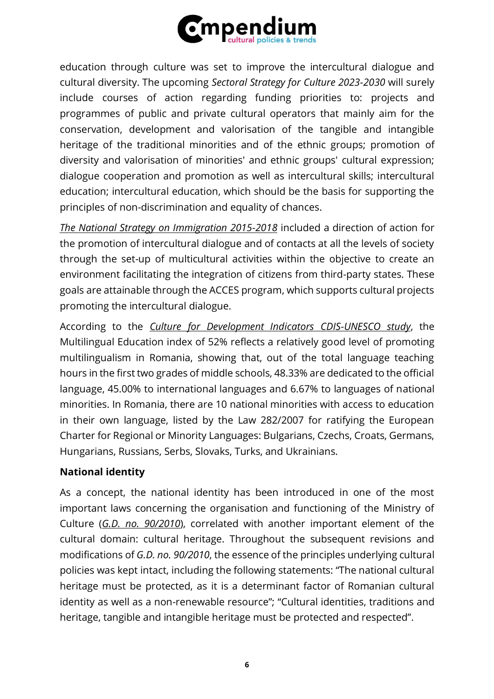

education through culture was set to improve the intercultural dialogue and cultural diversity. The upcoming *Sectoral Strategy for Culture 2023-2030* will surely include courses of action regarding funding priorities to: projects and programmes of public and private cultural operators that mainly aim for the conservation, development and valorisation of the tangible and intangible heritage of the traditional minorities and of the ethnic groups; promotion of diversity and valorisation of minorities' and ethnic groups' cultural expression; dialogue cooperation and promotion as well as intercultural skills; intercultural education; intercultural education, which should be the basis for supporting the principles of non-discrimination and equality of chances.

*[The National Strategy on Immigration 2015-2018](http://igi.mai.gov.ro/sites/all/themes/multipurpose_zymphonies_theme/images/pdf/SNIpentruperioada2015-2018.pdf)* included a direction of action for the promotion of intercultural dialogue and of contacts at all the levels of society through the set-up of multicultural activities within the objective to create an environment facilitating the integration of citizens from third-party states. These goals are attainable through the ACCES program, which supports cultural projects promoting the intercultural dialogue.

According to the *[Culture for Development Indicators CDIS-UNESCO study](https://www.culturadata.ro/wp-content/uploads/2019/10/UNESCO-CDIS-Romanias-Analytical-brief-and-technical-report-EN-web.pdf)*, the Multilingual Education index of 52% reflects a relatively good level of promoting multilingualism in Romania, showing that, out of the total language teaching hours in the first two grades of middle schools, 48.33% are dedicated to the official language, 45.00% to international languages and 6.67% to languages of national minorities. In Romania, there are 10 national minorities with access to education in their own language, listed by the Law 282/2007 for ratifying the European Charter for Regional or Minority Languages: Bulgarians, Czechs, Croats, Germans, Hungarians, Russians, Serbs, Slovaks, Turks, and Ukrainians.

### **National identity**

As a concept, the national identity has been introduced in one of the most important laws concerning the organisation and functioning of the Ministry of Culture (*[G.D. no. 90/2010](http://legislatie.just.ro/Public/DetaliiDocumentAfis/184706)*), correlated with another important element of the cultural domain: cultural heritage. Throughout the subsequent revisions and modifications of *G.D. no. 90/2010*, the essence of the principles underlying cultural policies was kept intact, including the following statements: "The national cultural heritage must be protected, as it is a determinant factor of Romanian cultural identity as well as a non-renewable resource"; "Cultural identities, traditions and heritage, tangible and intangible heritage must be protected and respected".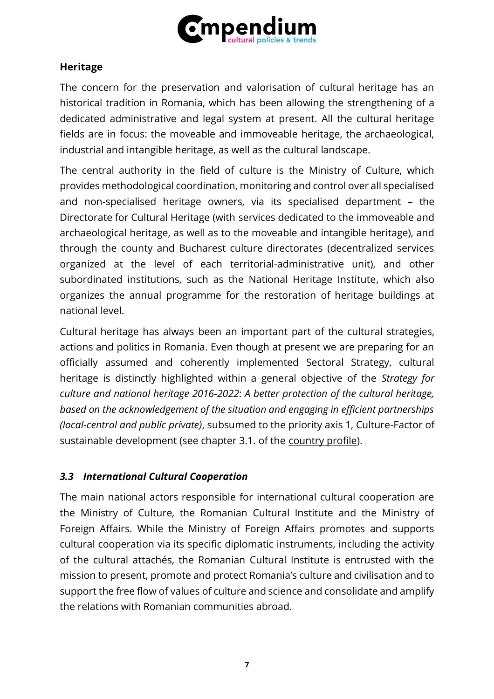

### **Heritage**

The concern for the preservation and valorisation of cultural heritage has an historical tradition in Romania, which has been allowing the strengthening of a dedicated administrative and legal system at present. All the cultural heritage fields are in focus: the moveable and immoveable heritage, the archaeological, industrial and intangible heritage, as well as the cultural landscape.

The central authority in the field of culture is the Ministry of Culture, which provides methodological coordination, monitoring and control over all specialised and non-specialised heritage owners, via its specialised department – the Directorate for Cultural Heritage (with services dedicated to the immoveable and archaeological heritage, as well as to the moveable and intangible heritage), and through the county and Bucharest culture directorates (decentralized services organized at the level of each territorial-administrative unit), and other subordinated institutions, such as the National Heritage Institute, which also organizes the annual programme for the restoration of heritage buildings at national level.

Cultural heritage has always been an important part of the cultural strategies, actions and politics in Romania. Even though at present we are preparing for an officially assumed and coherently implemented Sectoral Strategy, cultural heritage is distinctly highlighted within a general objective of the *Strategy for culture and national heritage 2016-2022*: *A better protection of the cultural heritage, based on the acknowledgement of the situation and engaging in efficient partnerships (local-central and public private)*, subsumed to the priority axis 1, Culture-Factor of sustainable development (see chapter 3.1. of the [country profile\)](https://www.culturalpolicies.net/wp-content/uploads/pdf_full/romania/romania_042020.pdf).

### *3.3 International Cultural Cooperation*

The main national actors responsible for international cultural cooperation are the Ministry of Culture, the Romanian Cultural Institute and the Ministry of Foreign Affairs. While the Ministry of Foreign Affairs promotes and supports cultural cooperation via its specific diplomatic instruments, including the activity of the cultural attachés, the Romanian Cultural Institute is entrusted with the mission to present, promote and protect Romania's culture and civilisation and to support the free flow of values of culture and science and consolidate and amplify the relations with Romanian communities abroad.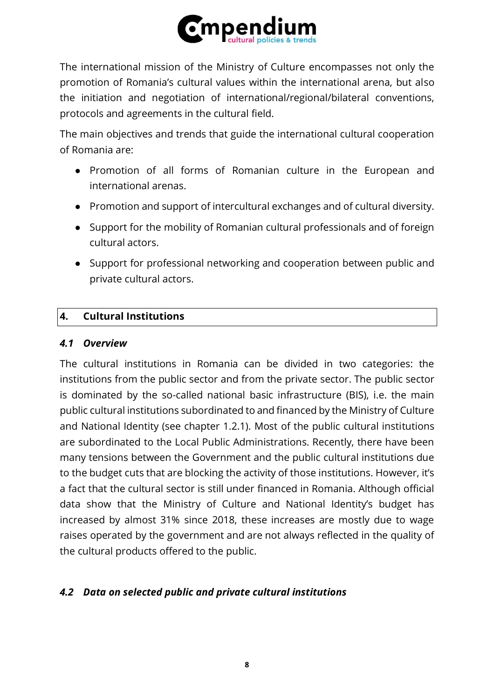

The international mission of the Ministry of Culture encompasses not only the promotion of Romania's cultural values within the international arena, but also the initiation and negotiation of international/regional/bilateral conventions, protocols and agreements in the cultural field.

The main objectives and trends that guide the international cultural cooperation of Romania are:

- Promotion of all forms of Romanian culture in the European and international arenas.
- Promotion and support of intercultural exchanges and of cultural diversity.
- Support for the mobility of Romanian cultural professionals and of foreign cultural actors.
- Support for professional networking and cooperation between public and private cultural actors.

### **4. Cultural Institutions**

#### *4.1 Overview*

The cultural institutions in Romania can be divided in two categories: the institutions from the public sector and from the private sector. The public sector is dominated by the so-called national basic infrastructure (BIS), i.e. the main public cultural institutions subordinated to and financed by the Ministry of Culture and National Identity (see chapter 1.2.1). Most of the public cultural institutions are subordinated to the Local Public Administrations. Recently, there have been many tensions between the Government and the public cultural institutions due to the budget cuts that are blocking the activity of those institutions. However, it's a fact that the cultural sector is still under financed in Romania. Although official data show that the Ministry of Culture and National Identity's budget has increased by almost 31% since 2018, these increases are mostly due to wage raises operated by the government and are not always reflected in the quality of the cultural products offered to the public.

### *4.2 Data on selected public and private cultural institutions*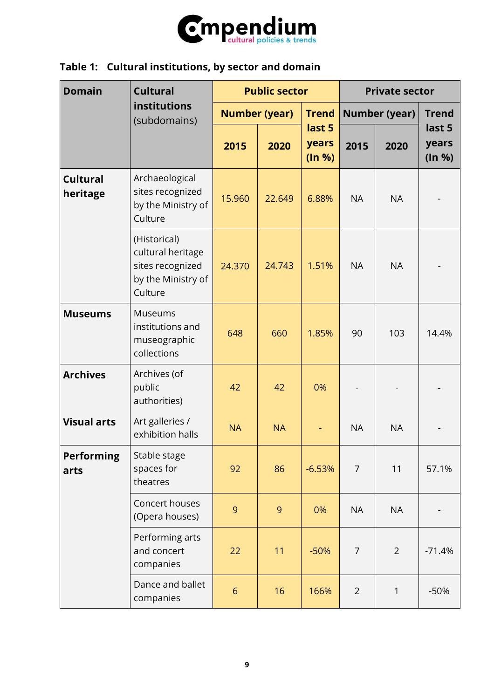

# **Table 1: Cultural institutions, by sector and domain**

| <b>Domain</b>               | <b>Cultural</b>                                                                        | <b>Public sector</b> |                      |                           | <b>Private sector</b> |                |                           |
|-----------------------------|----------------------------------------------------------------------------------------|----------------------|----------------------|---------------------------|-----------------------|----------------|---------------------------|
|                             | institutions<br>(subdomains)                                                           |                      | <b>Number (year)</b> | <b>Trend</b>              | <b>Number (year)</b>  |                | <b>Trend</b>              |
|                             |                                                                                        | 2015                 | 2020                 | last 5<br>years<br>(ln %) | 2015                  | 2020           | last 5<br>years<br>(ln %) |
| <b>Cultural</b><br>heritage | Archaeological<br>sites recognized<br>by the Ministry of<br>Culture                    | 15.960               | 22.649               | 6.88%                     | <b>NA</b>             | <b>NA</b>      |                           |
|                             | (Historical)<br>cultural heritage<br>sites recognized<br>by the Ministry of<br>Culture | 24.370               | 24.743               | 1.51%                     | <b>NA</b>             | <b>NA</b>      |                           |
| <b>Museums</b>              | <b>Museums</b><br>institutions and<br>museographic<br>collections                      | 648                  | 660                  | 1.85%                     | 90                    | 103            | 14.4%                     |
| <b>Archives</b>             | Archives (of<br>public<br>authorities)                                                 | 42                   | 42                   | 0%                        |                       |                |                           |
| <b>Visual arts</b>          | Art galleries /<br>exhibition halls                                                    | <b>NA</b>            | <b>NA</b>            |                           | <b>NA</b>             | <b>NA</b>      |                           |
| <b>Performing</b><br>arts   | Stable stage<br>spaces for<br>theatres                                                 | 92                   | 86                   | $-6.53%$                  | $\overline{7}$        | 11             | 57.1%                     |
|                             | Concert houses<br>(Opera houses)                                                       | 9                    | 9                    | 0%                        | <b>NA</b>             | <b>NA</b>      |                           |
|                             | Performing arts<br>and concert<br>companies                                            | 22                   | 11                   | $-50%$                    | $\overline{7}$        | $\overline{2}$ | $-71.4%$                  |
|                             | Dance and ballet<br>companies                                                          | $6\overline{6}$      | 16                   | 166%                      | $\overline{2}$        | $\mathbf{1}$   | $-50%$                    |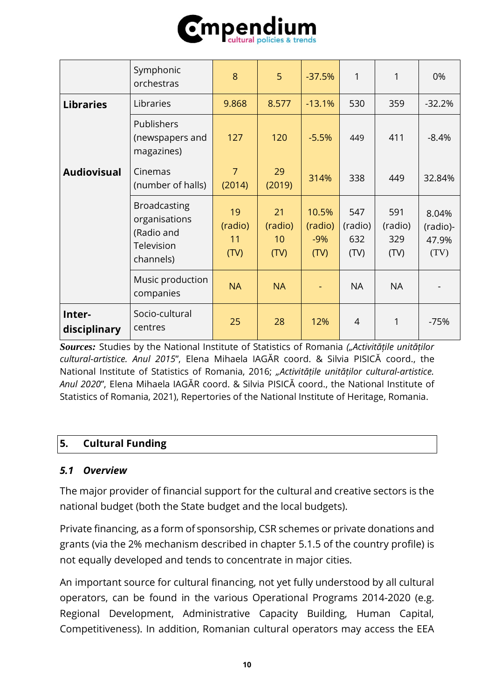

|                        | Symphonic<br>orchestras                                                       | 8                           | 5                           | $-37.5%$                          | 1                             | 1                             | 0%                                 |
|------------------------|-------------------------------------------------------------------------------|-----------------------------|-----------------------------|-----------------------------------|-------------------------------|-------------------------------|------------------------------------|
| <b>Libraries</b>       | Libraries                                                                     | 9.868                       | 8.577                       | $-13.1%$                          | 530                           | 359                           | $-32.2%$                           |
|                        | Publishers<br>(newspapers and<br>magazines)                                   | 127                         | 120                         | $-5.5%$                           | 449                           | 411                           | $-8.4%$                            |
| <b>Audiovisual</b>     | Cinemas<br>(number of halls)                                                  | $\overline{7}$<br>(2014)    | 29<br>(2019)                | 314%                              | 338                           | 449                           | 32.84%                             |
|                        | <b>Broadcasting</b><br>organisations<br>(Radio and<br>Television<br>channels) | 19<br>(radio)<br>11<br>(TV) | 21<br>(radio)<br>10<br>(TV) | 10.5%<br>(radio)<br>$-9%$<br>(TV) | 547<br>(radio)<br>632<br>(TV) | 591<br>(radio)<br>329<br>(TV) | 8.04%<br>(radio)-<br>47.9%<br>(TV) |
|                        | Music production<br>companies                                                 | <b>NA</b>                   | <b>NA</b>                   |                                   | <b>NA</b>                     | <b>NA</b>                     |                                    |
| Inter-<br>disciplinary | Socio-cultural<br>centres                                                     | 25                          | 28                          | 12%                               | $\overline{4}$                | 1                             | $-75%$                             |

*Sources:* Studies by the National Institute of Statistics of Romania *("Activitățile unităților cultural-artistice. Anul 2015*", Elena Mihaela IAGĂR coord. & Silvia PISICĂ coord., the National Institute of Statistics of Romania, 2016; *"Activitățile unităților cultural-artistice. Anul 2020*", Elena Mihaela IAGĂR coord. & Silvia PISICĂ coord., the National Institute of Statistics of Romania, 2021), Repertories of the National Institute of Heritage, Romania.

### **5. Cultural Funding**

#### *5.1 Overview*

The major provider of financial support for the cultural and creative sectors is the national budget (both the State budget and the local budgets).

Private financing, as a form of sponsorship, CSR schemes or private donations and grants (via the 2% mechanism described in chapter 5.1.5 of the country profile) is not equally developed and tends to concentrate in major cities.

An important source for cultural financing, not yet fully understood by all cultural operators, can be found in the various Operational Programs 2014-2020 (e.g. Regional Development, Administrative Capacity Building, Human Capital, Competitiveness). In addition, Romanian cultural operators may access the EEA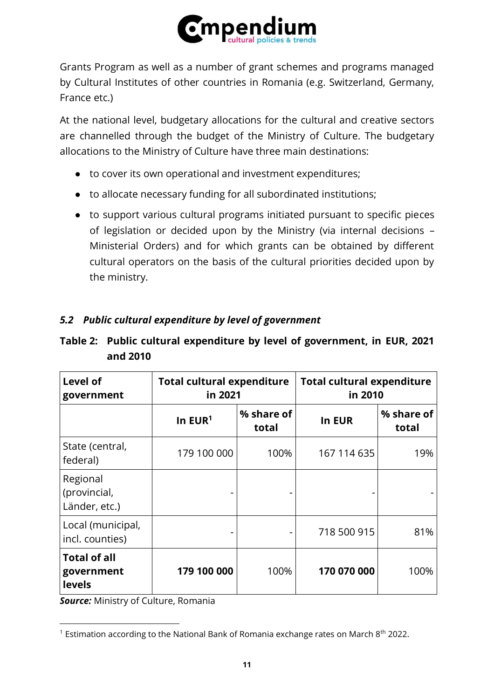

Grants Program as well as a number of grant schemes and programs managed by Cultural Institutes of other countries in Romania (e.g. Switzerland, Germany, France etc.)

At the national level, budgetary allocations for the cultural and creative sectors are channelled through the budget of the Ministry of Culture. The budgetary allocations to the Ministry of Culture have three main destinations:

- to cover its own operational and investment expenditures;
- to allocate necessary funding for all subordinated institutions;
- to support various cultural programs initiated pursuant to specific pieces of legislation or decided upon by the Ministry (via internal decisions – Ministerial Orders) and for which grants can be obtained by different cultural operators on the basis of the cultural priorities decided upon by the ministry.

### *5.2 Public cultural expenditure by level of government*

### **Table 2: Public cultural expenditure by level of government, in EUR, 2021 and 2010**

| Level of<br>government                             | <b>Total cultural expenditure</b><br>in 2021 |                     | <b>Total cultural expenditure</b><br>in 2010 |                     |
|----------------------------------------------------|----------------------------------------------|---------------------|----------------------------------------------|---------------------|
|                                                    | In $EUR1$                                    | % share of<br>total | In EUR                                       | % share of<br>total |
| State (central,<br>federal)                        | 179 100 000                                  | 100%                | 167 114 635                                  | 19%                 |
| Regional<br>(provincial,<br>Länder, etc.)          |                                              |                     |                                              |                     |
| Local (municipal,<br>incl. counties)               | -                                            |                     | 718 500 915                                  | 81%                 |
| <b>Total of all</b><br>government<br><b>levels</b> | 179 100 000                                  | 100%                | 170 070 000                                  | 100%                |

*Source:* Ministry of Culture, Romania

<sup>&</sup>lt;sup>1</sup> Estimation according to the National Bank of Romania exchange rates on March  $8<sup>th</sup>$  2022.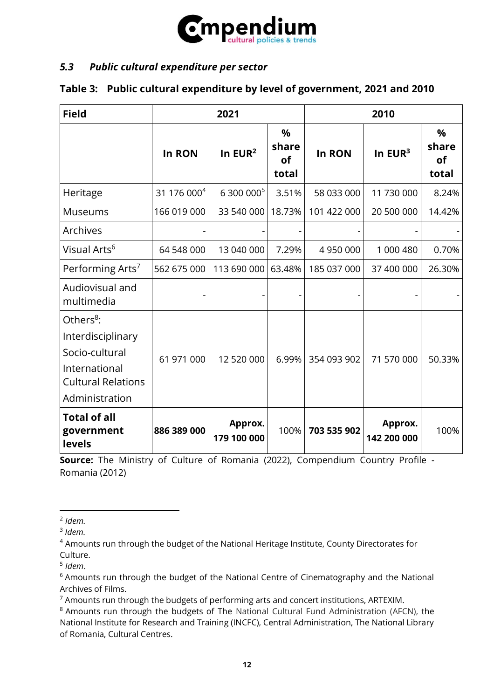

### *5.3 Public cultural expenditure per sector*

### **Table 3: Public cultural expenditure by level of government, 2021 and 2010**

| <b>Field</b>                                                                                                                 | 2021                    |                        |                           | 2010        |                        |                           |
|------------------------------------------------------------------------------------------------------------------------------|-------------------------|------------------------|---------------------------|-------------|------------------------|---------------------------|
|                                                                                                                              | In RON                  | In $EUR2$              | %<br>share<br>of<br>total | In RON      | In $EUR3$              | %<br>share<br>of<br>total |
| Heritage                                                                                                                     | 31 176 000 <sup>4</sup> | 6 300 000 <sup>5</sup> | 3.51%                     | 58 033 000  | 11 730 000             | 8.24%                     |
| <b>Museums</b>                                                                                                               | 166 019 000             | 33 540 000             | 18.73%                    | 101 422 000 | 20 500 000             | 14.42%                    |
| <b>Archives</b>                                                                                                              |                         |                        |                           |             |                        |                           |
| Visual Arts <sup>6</sup>                                                                                                     | 64 548 000              | 13 040 000             | 7.29%                     | 4 950 000   | 1 000 480              | 0.70%                     |
| Performing Arts <sup>7</sup>                                                                                                 | 562 675 000             | 113 690 000            | 63.48%                    | 185 037 000 | 37 400 000             | 26.30%                    |
| Audiovisual and<br>multimedia                                                                                                |                         |                        |                           |             |                        |                           |
| Others <sup>8</sup> :<br>Interdisciplinary<br>Socio-cultural<br>International<br><b>Cultural Relations</b><br>Administration | 61 971 000              | 12 520 000             | 6.99%                     | 354 093 902 | 71 570 000             | 50.33%                    |
| <b>Total of all</b><br>government<br>levels                                                                                  | 886 389 000             | Approx.<br>179 100 000 | 100%                      | 703 535 902 | Approx.<br>142 200 000 | 100%                      |

**Source:** The Ministry of Culture of Romania (2022), Compendium Country Profile - Romania (2012)

<sup>2</sup> *Idem.*

<sup>3</sup> *Idem.*

<sup>4</sup> Amounts run through the budget of the National Heritage Institute, County Directorates for Culture.

<sup>5</sup> *Idem*.

<sup>&</sup>lt;sup>6</sup> Amounts run through the budget of the National Centre of Cinematography and the National Archives of Films.

 $<sup>7</sup>$  Amounts run through the budgets of performing arts and concert institutions, ARTEXIM.</sup>

<sup>&</sup>lt;sup>8</sup> Amounts run through the budgets of The National Cultural Fund Administration (AFCN), the National Institute for Research and Training (INCFC), Central Administration, The National Library of Romania, Cultural Centres.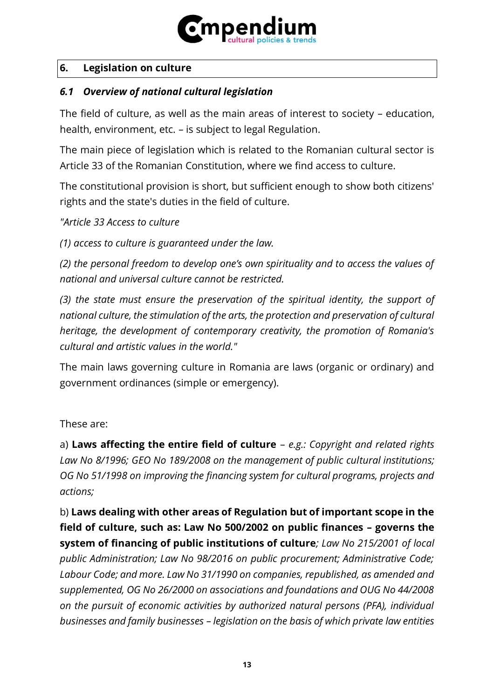

### **6. Legislation on culture**

# *6.1 Overview of national cultural legislation*

The field of culture, as well as the main areas of interest to society – education, health, environment, etc. – is subject to legal Regulation.

The main piece of legislation which is related to the Romanian cultural sector is Article 33 of the Romanian Constitution, where we find access to culture.

The constitutional provision is short, but sufficient enough to show both citizens' rights and the state's duties in the field of culture.

*"Article 33 Access to culture*

*(1) access to culture is guaranteed under the law.*

*(2) the personal freedom to develop one's own spirituality and to access the values of national and universal culture cannot be restricted.*

*(3) the state must ensure the preservation of the spiritual identity, the support of national culture, the stimulation of the arts, the protection and preservation of cultural heritage, the development of contemporary creativity, the promotion of Romania's cultural and artistic values in the world."*

The main laws governing culture in Romania are laws (organic or ordinary) and government ordinances (simple or emergency).

These are:

a) **Laws affecting the entire field of culture** – *e.g.: Copyright and related rights Law No 8/1996; GEO No 189/2008 on the management of public cultural institutions; OG No 51/1998 on improving the financing system for cultural programs, projects and actions;*

b) **Laws dealing with other areas of Regulation but of important scope in the field of culture, such as: Law No 500/2002 on public finances – governs the system of financing of public institutions of culture***; Law No 215/2001 of local public Administration; Law No 98/2016 on public procurement; Administrative Code; Labour Code; and more. Law No 31/1990 on companies, republished, as amended and supplemented, OG No 26/2000 on associations and foundations and OUG No 44/2008 on the pursuit of economic activities by authorized natural persons (PFA), individual businesses and family businesses – legislation on the basis of which private law entities*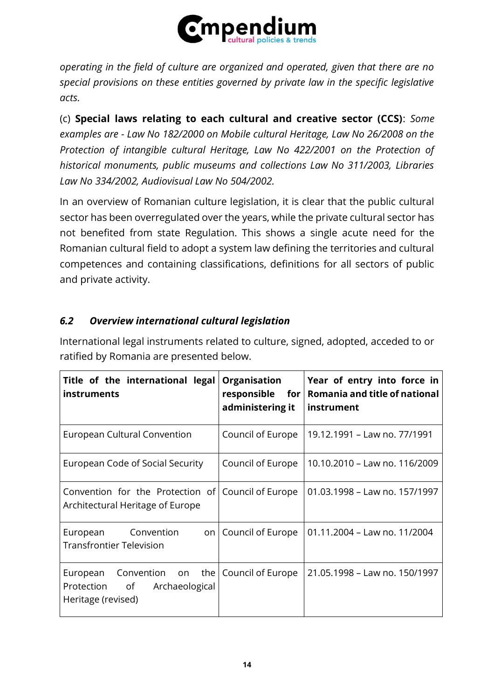

*operating in the field of culture are organized and operated, given that there are no special provisions on these entities governed by private law in the specific legislative acts.*

(c) **Special laws relating to each cultural and creative sector (CCS)**: *Some examples are - Law No 182/2000 on Mobile cultural Heritage, Law No 26/2008 on the Protection of intangible cultural Heritage, Law No 422/2001 on the Protection of historical monuments, public museums and collections Law No 311/2003, Libraries Law No 334/2002, Audiovisual Law No 504/2002.*

In an overview of Romanian culture legislation, it is clear that the public cultural sector has been overregulated over the years, while the private cultural sector has not benefited from state Regulation. This shows a single acute need for the Romanian cultural field to adopt a system law defining the territories and cultural competences and containing classifications, definitions for all sectors of public and private activity.

# *6.2 Overview international cultural legislation*

International legal instruments related to culture, signed, adopted, acceded to or ratified by Romania are presented below.

| Title of the international legal<br>instruments                                                             | <b>Organisation</b><br>responsible for<br>administering it | Year of entry into force in<br>Romania and title of national<br>instrument |
|-------------------------------------------------------------------------------------------------------------|------------------------------------------------------------|----------------------------------------------------------------------------|
| European Cultural Convention                                                                                | Council of Europe                                          | 19.12.1991 - Law no. 77/1991                                               |
| European Code of Social Security                                                                            | Council of Europe                                          | 10.10.2010 - Law no. 116/2009                                              |
| Convention for the Protection of Council of Europe<br>Architectural Heritage of Europe                      |                                                            | 01.03.1998 - Law no. 157/1997                                              |
| Convention<br>European<br>on l<br>Transfrontier Television                                                  | Council of Europe                                          | 01.11.2004 - Law no. 11/2004                                               |
| Convention on the Council of Europe<br>European<br>of<br>Archaeological<br>Protection<br>Heritage (revised) |                                                            | 21.05.1998 - Law no. 150/1997                                              |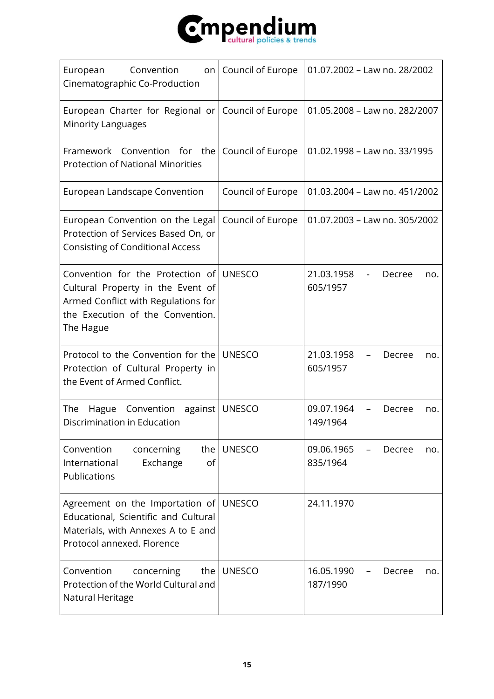

| European<br>Convention<br>Cinematographic Co-Production                                                                                                              | on   Council of Europe | 01.07.2002 - Law no. 28/2002            |
|----------------------------------------------------------------------------------------------------------------------------------------------------------------------|------------------------|-----------------------------------------|
| European Charter for Regional or Council of Europe<br><b>Minority Languages</b>                                                                                      |                        | 01.05.2008 - Law no. 282/2007           |
| Framework Convention for the<br><b>Protection of National Minorities</b>                                                                                             | Council of Europe      | 01.02.1998 - Law no. 33/1995            |
| European Landscape Convention                                                                                                                                        | Council of Europe      | 01.03.2004 - Law no. 451/2002           |
| European Convention on the Legal<br>Protection of Services Based On, or<br><b>Consisting of Conditional Access</b>                                                   | Council of Europe      | 01.07.2003 - Law no. 305/2002           |
| Convention for the Protection of UNESCO<br>Cultural Property in the Event of<br>Armed Conflict with Regulations for<br>the Execution of the Convention.<br>The Hague |                        | 21.03.1958<br>Decree<br>no.<br>605/1957 |
| Protocol to the Convention for the<br>Protection of Cultural Property in<br>the Event of Armed Conflict.                                                             | <b>UNESCO</b>          | 21.03.1958<br>Decree<br>no.<br>605/1957 |
| Convention<br>against<br>The<br>Hague<br>Discrimination in Education                                                                                                 | <b>UNESCO</b>          | 09.07.1964<br>Decree<br>no.<br>149/1964 |
| Convention<br>concerning<br>the I<br>International<br>Exchange<br>of<br>Publications                                                                                 | <b>UNESCO</b>          | 09.06.1965<br>Decree<br>no.<br>835/1964 |
| Agreement on the Importation of<br>Educational, Scientific and Cultural<br>Materials, with Annexes A to E and<br>Protocol annexed. Florence                          | <b>UNESCO</b>          | 24.11.1970                              |
| Convention<br>the  <br>concerning<br>Protection of the World Cultural and<br>Natural Heritage                                                                        | <b>UNESCO</b>          | 16.05.1990<br>Decree<br>no.<br>187/1990 |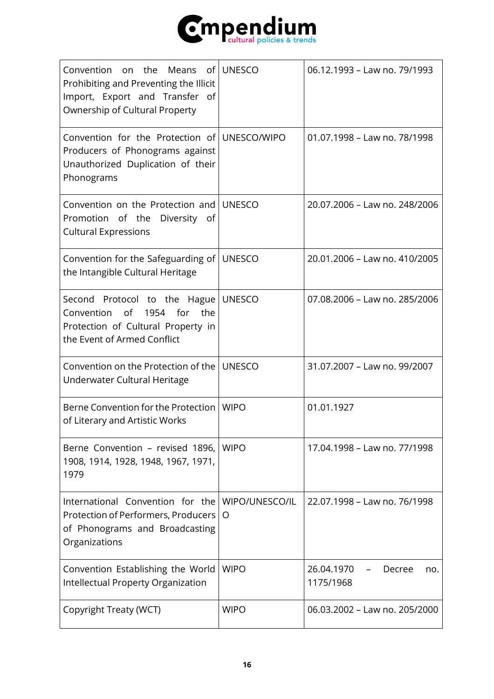

| Means of UNESCO<br>Convention on the<br>Prohibiting and Preventing the Illicit<br>Import, Export and Transfer of<br>Ownership of Cultural Property |                     | 06.12.1993 - Law no. 79/1993             |
|----------------------------------------------------------------------------------------------------------------------------------------------------|---------------------|------------------------------------------|
| Convention for the Protection of UNESCO/WIPO<br>Producers of Phonograms against<br>Unauthorized Duplication of their<br>Phonograms                 |                     | 01.07.1998 - Law no. 78/1998             |
| Convention on the Protection and<br>Promotion of the<br>Diversity of<br><b>Cultural Expressions</b>                                                | <b>UNESCO</b>       | 20.07.2006 - Law no. 248/2006            |
| Convention for the Safeguarding of<br>the Intangible Cultural Heritage                                                                             | <b>UNESCO</b>       | 20.01.2006 - Law no. 410/2005            |
| Second Protocol to the Hague<br>of<br>1954 for<br>the<br>Convention<br>Protection of Cultural Property in<br>the Event of Armed Conflict           | <b>UNESCO</b>       | 07.08.2006 - Law no. 285/2006            |
| Convention on the Protection of the<br>Underwater Cultural Heritage                                                                                | <b>UNESCO</b>       | 31.07.2007 - Law no. 99/2007             |
| Berne Convention for the Protection<br>of Literary and Artistic Works                                                                              | <b>WIPO</b>         | 01.01.1927                               |
| Berne Convention - revised 1896,<br>1908, 1914, 1928, 1948, 1967, 1971,<br>1979                                                                    | <b>WIPO</b>         | 17.04.1998 - Law no. 77/1998             |
| International Convention for the<br>Protection of Performers, Producers<br>of Phonograms and Broadcasting<br>Organizations                         | WIPO/UNESCO/IL<br>O | 22.07.1998 - Law no. 76/1998             |
| Convention Establishing the World<br>Intellectual Property Organization                                                                            | <b>WIPO</b>         | 26.04.1970<br>Decree<br>no.<br>1175/1968 |
| Copyright Treaty (WCT)                                                                                                                             | <b>WIPO</b>         | 06.03.2002 - Law no. 205/2000            |